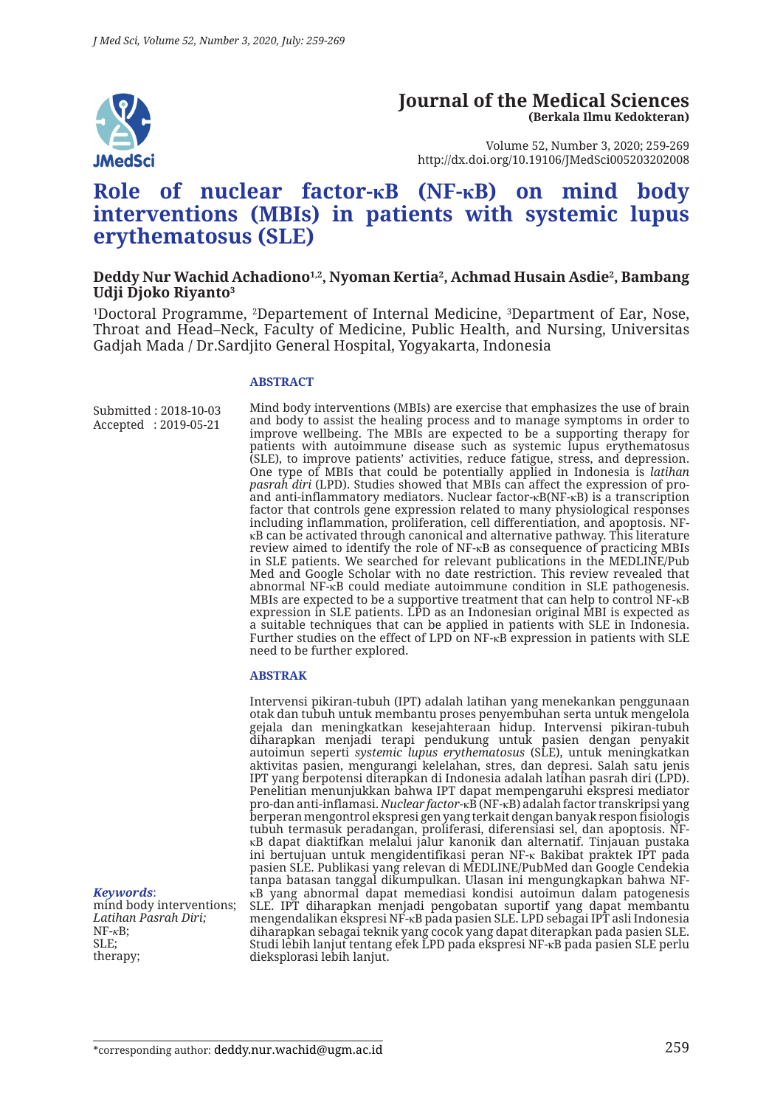

#### **Journal of the Medical Sciences (Berkala Ilmu Kedokteran)**

Volume 52, Number 3, 2020; 259-269 http://dx.doi.org/10.19106/JMedSci005203202008

# **Role of nuclear factor-κB (NF-κB) on mind body interventions (MBIs) in patients with systemic lupus erythematosus (SLE)**

#### **Deddy Nur Wachid Achadiono1,2, Nyoman Kertia2 , Achmad Husain Asdie2 , Bambang Udji Djoko Riyanto3**

<sup>1</sup>Doctoral Programme, <sup>2</sup>Departement of Internal Medicine, <sup>3</sup>Department of Ear, Nose, Throat and Head–Neck, Faculty of Medicine, Public Health, and Nursing, Universitas Gadjah Mada / Dr.Sardjito General Hospital, Yogyakarta, Indonesia

#### **ABSTRACT**

Submitted : 2018-10-03 Accepted : 2019-05-21

Mind body interventions (MBIs) are exercise that emphasizes the use of brain and body to assist the healing process and to manage symptoms in order to improve wellbeing. The MBIs are expected to be a supporting therapy for patients with autoimmune disease such as systemic lupus erythematosus (SLE), to improve patients' activities, reduce fatigue, stress, and depression. One type of MBIs that could be potentially applied in Indonesia is *latihan pasrah diri* (LPD). Studies showed that MBIs can affect the expression of proand anti-inflammatory mediators. Nuclear factor-κB(NF-κB) is a transcription factor that controls gene expression related to many physiological responses including inflammation, proliferation, cell differentiation, and apoptosis. NFκB can be activated through canonical and alternative pathway. This literature review aimed to identify the role of NF-κB as consequence of practicing MBIs in SLE patients. We searched for relevant publications in the MEDLINE/Pub Med and Google Scholar with no date restriction. This review revealed that abnormal NF-κB could mediate autoimmune condition in SLE pathogenesis. MBIs are expected to be a supportive treatment that can help to control NF-κB expression in SLE patients. LPD as an Indonesian original MBI is expected as a suitable techniques that can be applied in patients with SLE in Indonesia. Further studies on the effect of LPD on  $NF-kB$  expression in patients with SLE need to be further explored.

#### **ABSTRAK**

Intervensi pikiran-tubuh (IPT) adalah latihan yang menekankan penggunaan otak dan tubuh untuk membantu proses penyembuhan serta untuk mengelola gejala dan meningkatkan kesejahteraan hidup. Intervensi pikiran-tubuh diharapkan menjadi terapi pendukung untuk pasien dengan penyakit autoimun seperti *systemic lupus erythematosus* (SLE), untuk meningkatkan aktivitas pasien, mengurangi kelelahan, stres, dan depresi. Salah satu jenis IPT yang berpotensi diterapkan di Indonesia adalah latihan pasrah diri (LPD). Penelitian menunjukkan bahwa IPT dapat mempengaruhi ekspresi mediator pro-dan anti-inflamasi. *Nuclear factor-*κB (NF-κB) adalah factor transkripsi yang berperan mengontrol ekspresi gen yang terkait dengan banyak respon fisiologis tubuh termasuk peradangan, proliferasi, diferensiasi sel, dan apoptosis. NFκB dapat diaktifkan melalui jalur kanonik dan alternatif. Tinjauan pustaka ini bertujuan untuk mengidentifikasi peran NF-κ Bakibat praktek IPT pada pasien SLE. Publikasi yang relevan di MEDLINE/PubMed dan Google Cendekia tanpa batasan tanggal dikumpulkan. Ulasan ini mengungkapkan bahwa NFκB yang abnormal dapat memediasi kondisi autoimun dalam patogenesis SLE. IPT diharapkan menjadi pengobatan suportif yang dapat membantu mengendalikan ekspresi NF-κB pada pasien SLE. LPD sebagai IPT asli Indonesia diharapkan sebagai teknik yang cocok yang dapat diterapkan pada pasien SLE. Studi lebih lanjut tentang efek LPD pada ekspresi NF-κB pada pasien SLE perlu dieksplorasi lebih lanjut.

*Keywords*: mind body interventions; *Latihan Pasrah Diri;* NF-*κ*B; SLE; therapy;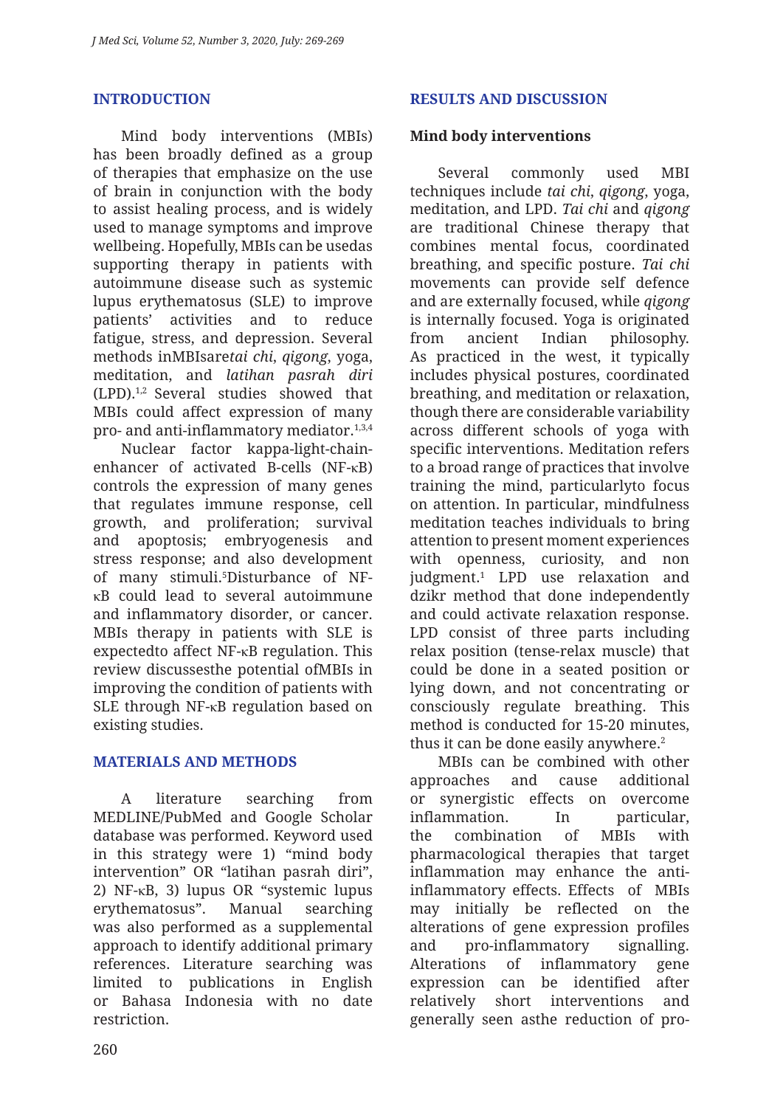## **INTRODUCTION**

Mind body interventions (MBIs) has been broadly defined as a group of therapies that emphasize on the use of brain in conjunction with the body to assist healing process, and is widely used to manage symptoms and improve wellbeing. Hopefully, MBIs can be usedas supporting therapy in patients with autoimmune disease such as systemic lupus erythematosus (SLE) to improve patients' activities and to reduce fatigue, stress, and depression. Several methods inMBIsare*tai chi*, *qigong*, yoga, meditation, and *latihan pasrah diri* (LPD).1,2 Several studies showed that MBIs could affect expression of many pro- and anti-inflammatory mediator.<sup>1,3,4</sup>

Nuclear factor kappa-light-chainenhancer of activated B-cells (NF-κB) controls the expression of many genes that regulates immune response, cell growth, and proliferation; survival and apoptosis; embryogenesis and stress response; and also development of many stimuli.5 Disturbance of NFκB could lead to several autoimmune and inflammatory disorder, or cancer. MBIs therapy in patients with SLE is expectedto affect NF-κB regulation. This review discussesthe potential ofMBIs in improving the condition of patients with SLE through NF-κB regulation based on existing studies.

### **MATERIALS AND METHODS**

A literature searching from MEDLINE/PubMed and Google Scholar database was performed. Keyword used in this strategy were 1) "mind body intervention" OR "latihan pasrah diri", 2) NF-κB, 3) lupus OR "systemic lupus erythematosus". Manual searching was also performed as a supplemental approach to identify additional primary references. Literature searching was limited to publications in English or Bahasa Indonesia with no date restriction.

## **Mind body interventions**

Several commonly used MBI techniques include *tai chi*, *qigong*, yoga, meditation, and LPD. *Tai chi* and *qigong*  are traditional Chinese therapy that combines mental focus, coordinated breathing, and specific posture. *Tai chi* movements can provide self defence and are externally focused, while *qigong* is internally focused. Yoga is originated from ancient Indian philosophy. As practiced in the west, it typically includes physical postures, coordinated breathing, and meditation or relaxation, though there are considerable variability across different schools of yoga with specific interventions. Meditation refers to a broad range of practices that involve training the mind, particularlyto focus on attention. In particular, mindfulness meditation teaches individuals to bring attention to present moment experiences with openness, curiosity, and non judgment.1 LPD use relaxation and dzikr method that done independently and could activate relaxation response. LPD consist of three parts including relax position (tense-relax muscle) that could be done in a seated position or lying down, and not concentrating or consciously regulate breathing. This method is conducted for 15-20 minutes, thus it can be done easily anywhere.<sup>2</sup>

MBIs can be combined with other approaches and cause additional or synergistic effects on overcome inflammation. In particular, the combination of MBIs with pharmacological therapies that target inflammation may enhance the antiinflammatory effects. Effects of MBIs may initially be reflected on the alterations of gene expression profiles and pro-inflammatory signalling. Alterations of inflammatory gene expression can be identified after relatively short interventions and generally seen asthe reduction of pro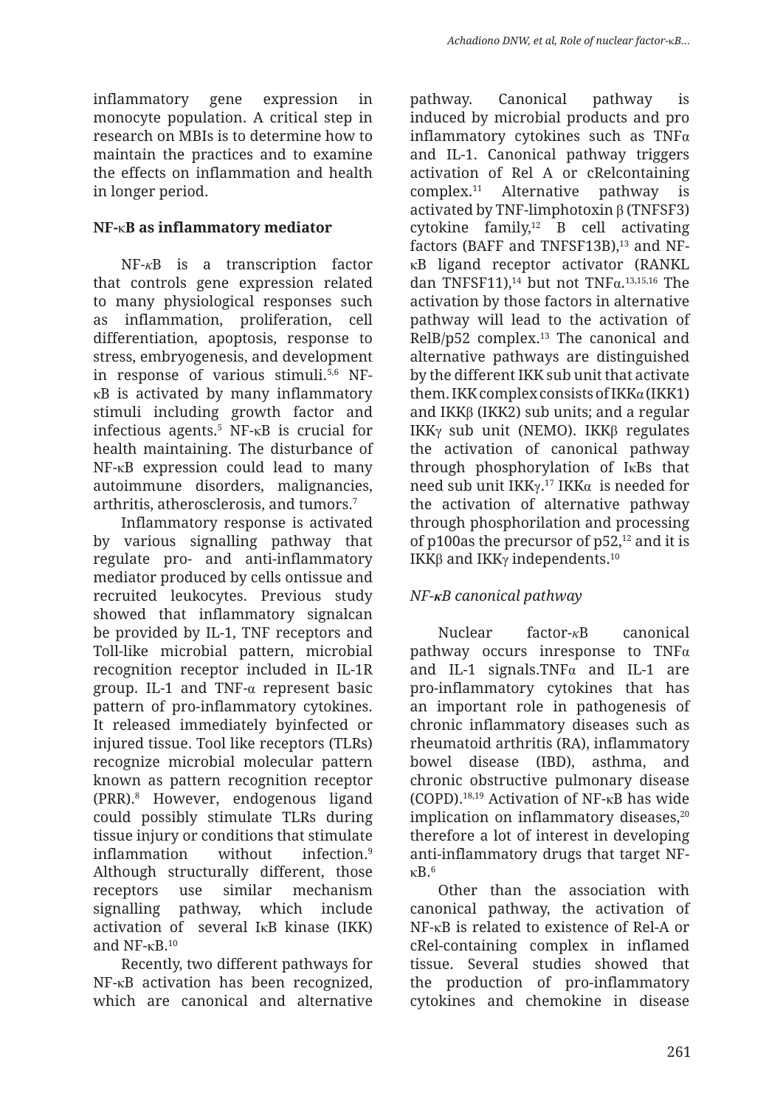inflammatory gene expression in monocyte population. A critical step in research on MBIs is to determine how to maintain the practices and to examine the effects on inflammation and health in longer period.

## **NF-**κ**B as inflammatory mediator**

NF-*κ*B is a transcription factor that controls gene expression related to many physiological responses such as inflammation, proliferation, cell differentiation, apoptosis, response to stress, embryogenesis, and development in response of various stimuli.5,6 NFκB is activated by many inflammatory stimuli including growth factor and infectious agents.5 NF-κB is crucial for health maintaining. The disturbance of NF-κB expression could lead to many autoimmune disorders, malignancies, arthritis, atherosclerosis, and tumors.7

Inflammatory response is activated by various signalling pathway that regulate pro- and anti-inflammatory mediator produced by cells ontissue and recruited leukocytes. Previous study showed that inflammatory signalcan be provided by IL-1, TNF receptors and Toll-like microbial pattern, microbial recognition receptor included in IL-1R group. IL-1 and TNF-α represent basic pattern of pro-inflammatory cytokines. It released immediately byinfected or injured tissue. Tool like receptors (TLRs) recognize microbial molecular pattern known as pattern recognition receptor (PRR).8 However, endogenous ligand could possibly stimulate TLRs during tissue injury or conditions that stimulate inflammation without infection.9 Although structurally different, those receptors use similar mechanism signalling pathway, which include activation of several IκB kinase (IKK) and  $NF - \kappa R^{10}$ 

Recently, two different pathways for NF-κB activation has been recognized, which are canonical and alternative pathway. Canonical pathway is induced by microbial products and pro inflammatory cytokines such as  $\overline{INF\alpha}$ and IL-1. Canonical pathway triggers activation of Rel A or cRelcontaining complex.11 Alternative pathway is activated by TNF-limphotoxin β (TNFSF3) cytokine family,12 B cell activating factors (BAFF and TNFSF13B),<sup>13</sup> and NFκB ligand receptor activator (RANKL dan TNFSF11),<sup>14</sup> but not TNF $\alpha$ <sup>13,15,16</sup> The activation by those factors in alternative pathway will lead to the activation of  $RelB/p52$  complex.<sup>13</sup> The canonical and alternative pathways are distinguished by the different IKK sub unit that activate them. IKK complex consists of IKK $\alpha$  (IKK1) and IKKβ (IKK2) sub units; and a regular IKKγ sub unit (NEMO). IKKβ regulates the activation of canonical pathway through phosphorylation of IκBs that need sub unit IKK $γ$ .<sup>17</sup> IKK $α$  is needed for the activation of alternative pathway through phosphorilation and processing of p100as the precursor of  $p52$ ,<sup>12</sup> and it is IKKβ and IKKγ independents.10

## *NF-κB canonical pathway*

Nuclear factor-*κ*B canonical pathway occurs inresponse to  $TNF\alpha$ and IL-1 signals.TNF $\alpha$  and IL-1 are pro-inflammatory cytokines that has an important role in pathogenesis of chronic inflammatory diseases such as rheumatoid arthritis (RA), inflammatory bowel disease (IBD), asthma, and chronic obstructive pulmonary disease (COPD).18,19 Activation of NF-κB has wide implication on inflammatory diseases,<sup>20</sup> therefore a lot of interest in developing anti-inflammatory drugs that target NFκB.6

Other than the association with canonical pathway, the activation of NF-κB is related to existence of Rel-A or cRel-containing complex in inflamed tissue. Several studies showed that the production of pro-inflammatory cytokines and chemokine in disease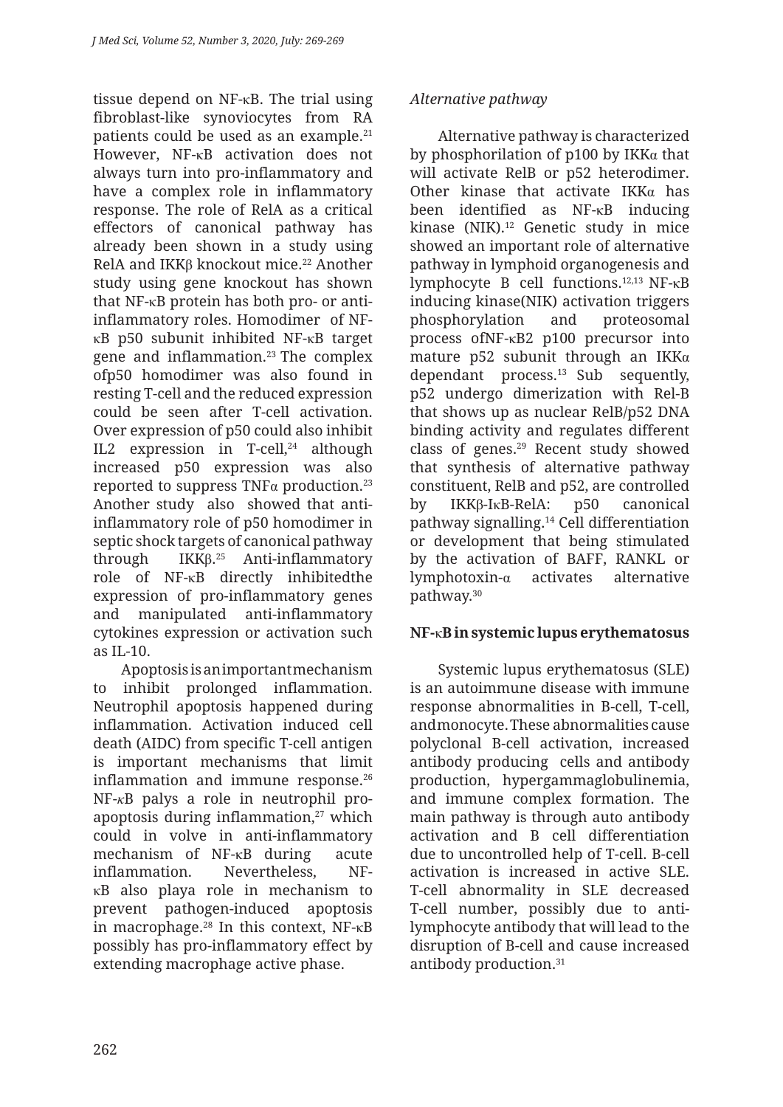tissue depend on NF-κB. The trial using fibroblast-like synoviocytes from RA patients could be used as an example.21 However, NF-κB activation does not always turn into pro-inflammatory and have a complex role in inflammatory response. The role of RelA as a critical effectors of canonical pathway has already been shown in a study using RelA and IKKβ knockout mice.<sup>22</sup> Another study using gene knockout has shown that NF-κB protein has both pro- or antiinflammatory roles. Homodimer of NFκB p50 subunit inhibited NF-κB target gene and inflammation.23 The complex ofp50 homodimer was also found in resting T-cell and the reduced expression could be seen after T-cell activation. Over expression of p50 could also inhibit IL2 expression in T-cell,<sup>24</sup> although increased p50 expression was also reported to suppress  $TNF\alpha$  production.<sup>23</sup> Another study also showed that antiinflammatory role of p50 homodimer in septic shock targets of canonical pathway through IKK<sub>B.25</sub> Anti-inflammatory role of NF-κB directly inhibitedthe expression of pro-inflammatory genes and manipulated anti-inflammatory cytokines expression or activation such as IL-10.

Apoptosis is an important mechanism to inhibit prolonged inflammation. Neutrophil apoptosis happened during inflammation. Activation induced cell death (AIDC) from specific T-cell antigen is important mechanisms that limit inflammation and immune response.<sup>26</sup> NF-*κ*B palys a role in neutrophil proapoptosis during inflammation,<sup>27</sup> which could in volve in anti-inflammatory mechanism of NF-κB during acute inflammation. Nevertheless, NFκB also playa role in mechanism to prevent pathogen-induced apoptosis in macrophage.28 In this context, NF-κB possibly has pro-inflammatory effect by extending macrophage active phase.

## *Alternative pathway*

Alternative pathway is characterized by phosphorilation of p100 by IKK $\alpha$  that will activate RelB or p52 heterodimer. Other kinase that activate  $IKK\alpha$  has been identified as NF-κB inducing kinase (NIK).<sup>12</sup> Genetic study in mice showed an important role of alternative pathway in lymphoid organogenesis and lymphocyte B cell functions.12,13 NF-κB inducing kinase(NIK) activation triggers phosphorylation and proteosomal process ofNF-κB2 p100 precursor into mature p52 subunit through an IKK $\alpha$ dependant process.13 Sub sequently, p52 undergo dimerization with Rel-B that shows up as nuclear RelB/p52 DNA binding activity and regulates different class of genes.29 Recent study showed that synthesis of alternative pathway constituent, RelB and p52, are controlled by IKKβ-IκB-RelA: p50 canonical pathway signalling.14 Cell differentiation or development that being stimulated by the activation of BAFF, RANKL or lymphotoxin-α activates alternative pathway.30

## **NF-**κ**B in systemic lupus erythematosus**

Systemic lupus erythematosus (SLE) is an autoimmune disease with immune response abnormalities in B-cell, T-cell, and monocyte. These abnormalities cause polyclonal B-cell activation, increased antibody producing cells and antibody production, hypergammaglobulinemia, and immune complex formation. The main pathway is through auto antibody activation and B cell differentiation due to uncontrolled help of T-cell. B-cell activation is increased in active SLE. T-cell abnormality in SLE decreased T-cell number, possibly due to antilymphocyte antibody that will lead to the disruption of B-cell and cause increased antibody production.31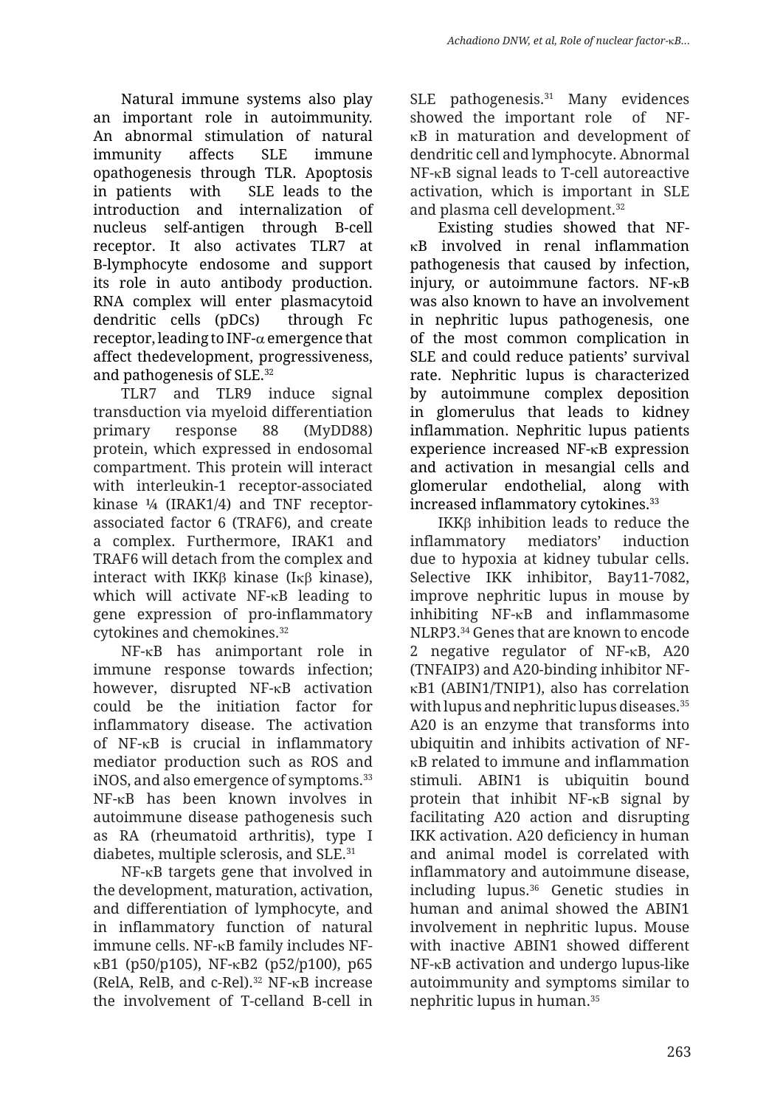Natural immune systems also play an important role in autoimmunity. An abnormal stimulation of natural immunity affects SLE immune opathogenesis through TLR. Apoptosis in patients with SLE leads to the introduction and internalization of nucleus self-antigen through B-cell receptor. It also activates TLR7 at B-lymphocyte endosome and support its role in auto antibody production. RNA complex will enter plasmacytoid dendritic cells (pDCs) through Fc receptor, leading to INF-α emergence that affect thedevelopment, progressiveness, and pathogenesis of SLE.32

TLR7 and TLR9 induce signal transduction via myeloid differentiation primary response 88 (MyDD88) protein, which expressed in endosomal compartment. This protein will interact with interleukin-1 receptor-associated kinase ¼ (IRAK1/4) and TNF receptorassociated factor 6 (TRAF6), and create a complex. Furthermore, IRAK1 and TRAF6 will detach from the complex and interact with IKKβ kinase (Iκβ kinase), which will activate NF-κB leading to gene expression of pro-inflammatory cytokines and chemokines.32

NF-κB has animportant role in immune response towards infection; however, disrupted NF-κB activation could be the initiation factor for inflammatory disease. The activation of NF-κB is crucial in inflammatory mediator production such as ROS and iNOS, and also emergence of symptoms.33 NF-κB has been known involves in autoimmune disease pathogenesis such as RA (rheumatoid arthritis), type I diabetes, multiple sclerosis, and SLE.31

NF-κB targets gene that involved in the development, maturation, activation, and differentiation of lymphocyte, and in inflammatory function of natural immune cells. NF-κB family includes NFκB1 (p50/p105), NF-κB2 (p52/p100), p65 (RelA, RelB, and c-Rel).<sup>32</sup> NF- $\kappa$ B increase the involvement of T-celland B-cell in SLE pathogenesis.<sup>31</sup> Many evidences showed the important role of NFκB in maturation and development of dendritic cell and lymphocyte. Abnormal NF-κB signal leads to T-cell autoreactive activation, which is important in SLE and plasma cell development.<sup>32</sup>

Existing studies showed that NFκB involved in renal inflammation pathogenesis that caused by infection, injury, or autoimmune factors. NF-κB was also known to have an involvement in nephritic lupus pathogenesis, one of the most common complication in SLE and could reduce patients' survival rate. Nephritic lupus is characterized by autoimmune complex deposition in glomerulus that leads to kidney inflammation. Nephritic lupus patients experience increased NF-κB expression and activation in mesangial cells and glomerular endothelial, along with increased inflammatory cytokines.33

IKKβ inhibition leads to reduce the inflammatory mediators' induction due to hypoxia at kidney tubular cells. Selective IKK inhibitor, Bay11-7082, improve nephritic lupus in mouse by inhibiting NF-κB and inflammasome NLRP3.34 Genes that are known to encode 2 negative regulator of NF-κB, A20 (TNFAIP3) and A20-binding inhibitor NFκB1 (ABIN1/TNIP1), also has correlation with lupus and nephritic lupus diseases.<sup>35</sup> A20 is an enzyme that transforms into ubiquitin and inhibits activation of NFκB related to immune and inflammation stimuli. ABIN1 is ubiquitin bound protein that inhibit NF-κB signal by facilitating A20 action and disrupting IKK activation. A20 deficiency in human and animal model is correlated with inflammatory and autoimmune disease, including lupus.36 Genetic studies in human and animal showed the ABIN1 involvement in nephritic lupus. Mouse with inactive ABIN1 showed different NF-κB activation and undergo lupus-like autoimmunity and symptoms similar to nephritic lupus in human.35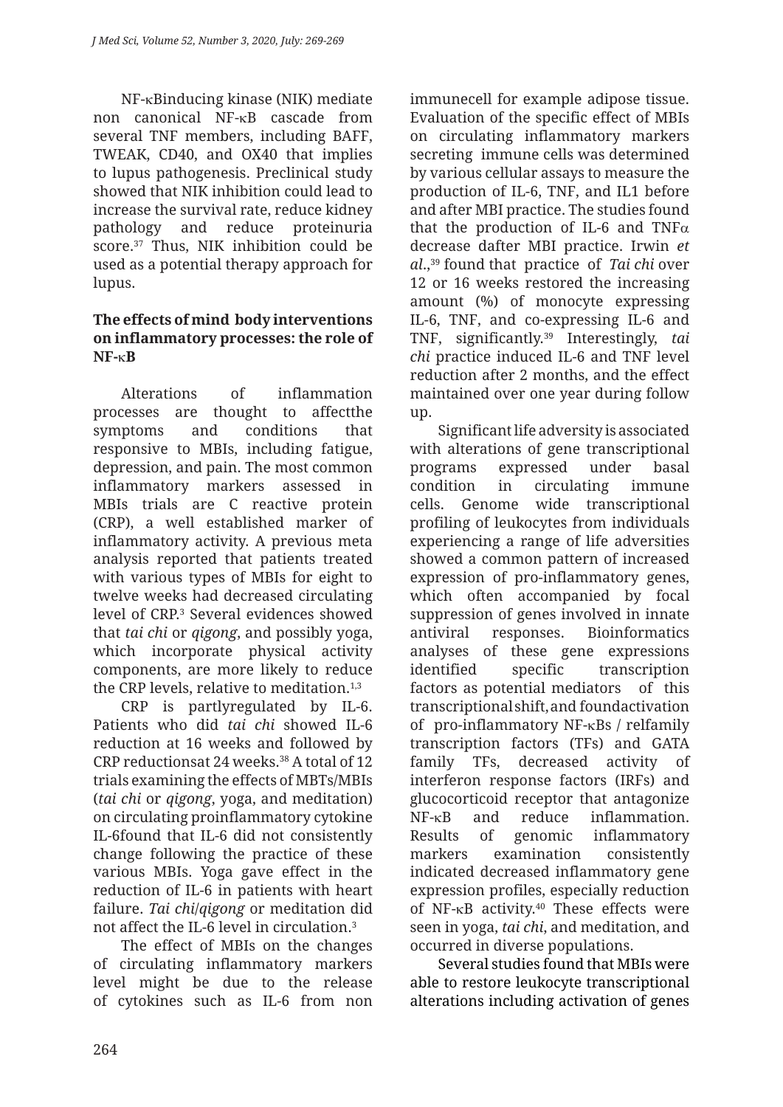NF-κBinducing kinase (NIK) mediate non canonical NF-κB cascade from several TNF members, including BAFF, TWEAK, CD40, and OX40 that implies to lupus pathogenesis. Preclinical study showed that NIK inhibition could lead to increase the survival rate, reduce kidney pathology and reduce proteinuria score.37 Thus, NIK inhibition could be used as a potential therapy approach for lupus.

### **The effects of mind body interventions on inflammatory processes: the role of NF-**κ**B**

Alterations of inflammation processes are thought to affectthe symptoms and conditions that responsive to MBIs, including fatigue, depression, and pain. The most common inflammatory markers assessed in MBIs trials are C reactive protein (CRP), a well established marker of inflammatory activity. A previous meta analysis reported that patients treated with various types of MBIs for eight to twelve weeks had decreased circulating level of CRP.3 Several evidences showed that *tai chi* or *qigong*, and possibly yoga, which incorporate physical activity components, are more likely to reduce the CRP levels, relative to meditation.<sup>1,3</sup>

CRP is partlyregulated by IL-6. Patients who did *tai chi* showed IL-6 reduction at 16 weeks and followed by CRP reductionsat 24 weeks.<sup>38</sup> A total of 12 trials examining the effects of MBTs/MBIs (*tai chi* or *qigong*, yoga, and meditation) on circulating proinflammatory cytokine IL-6found that IL-6 did not consistently change following the practice of these various MBIs. Yoga gave effect in the reduction of IL-6 in patients with heart failure. *Tai chi*/*qigong* or meditation did not affect the IL-6 level in circulation.3

The effect of MBIs on the changes of circulating inflammatory markers level might be due to the release of cytokines such as IL-6 from non immunecell for example adipose tissue. Evaluation of the specific effect of MBIs on circulating inflammatory markers secreting immune cells was determined by various cellular assays to measure the production of IL-6, TNF, and IL1 before and after MBI practice. The studies found that the production of IL-6 and TNF $\alpha$ decrease dafter MBI practice. Irwin *et al*.,39 found that practice of *Tai chi* over 12 or 16 weeks restored the increasing amount (%) of monocyte expressing IL-6, TNF, and co-expressing IL-6 and TNF, significantly.39 Interestingly, *tai chi* practice induced IL-6 and TNF level reduction after 2 months, and the effect maintained over one year during follow up.

Significant life adversity is associated with alterations of gene transcriptional programs expressed under basal condition in circulating immune cells. Genome wide transcriptional profiling of leukocytes from individuals experiencing a range of life adversities showed a common pattern of increased expression of pro-inflammatory genes, which often accompanied by focal suppression of genes involved in innate antiviral responses. Bioinformatics analyses of these gene expressions identified specific transcription factors as potential mediators of this transcriptional shift, and foundactivation of pro-inflammatory NF-κBs / relfamily transcription factors (TFs) and GATA family TFs, decreased activity of interferon response factors (IRFs) and glucocorticoid receptor that antagonize NF-κB and reduce inflammation. Results of genomic inflammatory markers examination consistently indicated decreased inflammatory gene expression profiles, especially reduction of NF- $\kappa$ B activity.<sup>40</sup> These effects were seen in yoga, *tai chi*, and meditation, and occurred in diverse populations.

Several studies found that MBIs were able to restore leukocyte transcriptional alterations including activation of genes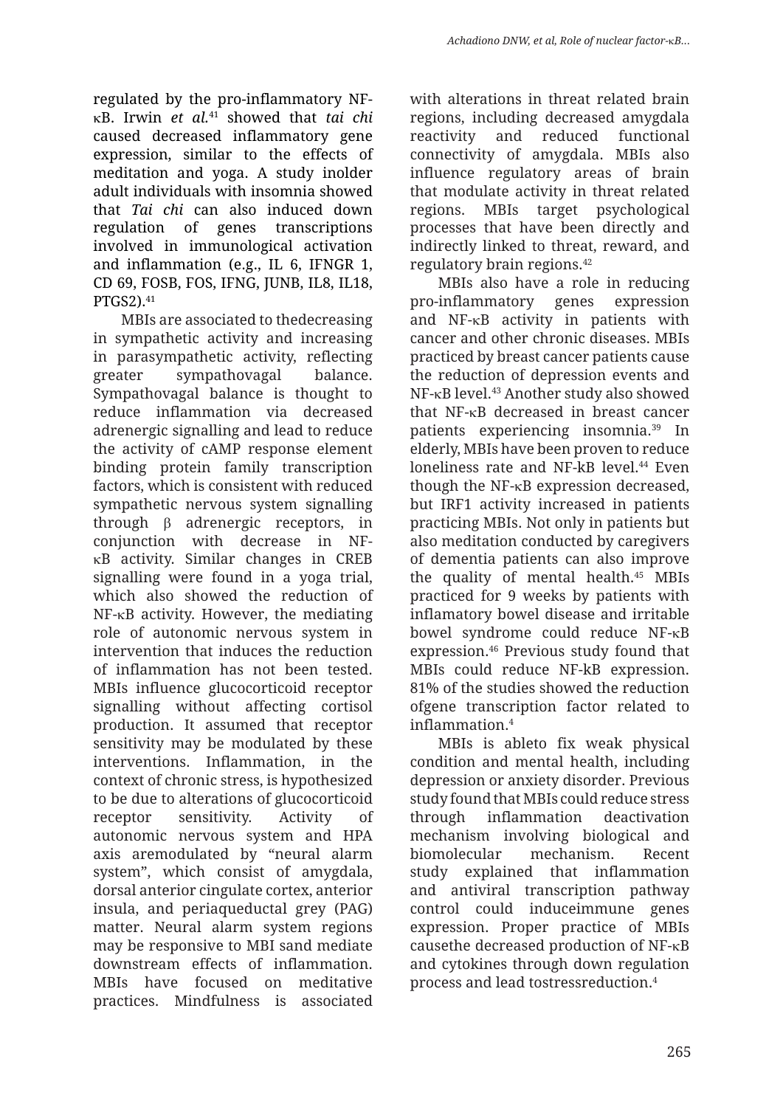regulated by the pro-inflammatory NFκB. Irwin *et al.*41 showed that *tai chi*  caused decreased inflammatory gene expression, similar to the effects of meditation and yoga. A study inolder adult individuals with insomnia showed that *Tai chi* can also induced down regulation of genes transcriptions involved in immunological activation and inflammation (e.g., IL 6, IFNGR 1, CD 69, FOSB, FOS, IFNG, JUNB, IL8, IL18, PTGS2).41

MBIs are associated to thedecreasing in sympathetic activity and increasing in parasympathetic activity, reflecting greater sympathovagal balance. Sympathovagal balance is thought to reduce inflammation via decreased adrenergic signalling and lead to reduce the activity of cAMP response element binding protein family transcription factors, which is consistent with reduced sympathetic nervous system signalling through β adrenergic receptors, in conjunction with decrease in NFκB activity. Similar changes in CREB signalling were found in a yoga trial, which also showed the reduction of NF-κB activity. However, the mediating role of autonomic nervous system in intervention that induces the reduction of inflammation has not been tested. MBIs influence glucocorticoid receptor signalling without affecting cortisol production. It assumed that receptor sensitivity may be modulated by these interventions. Inflammation, in the context of chronic stress, is hypothesized to be due to alterations of glucocorticoid receptor sensitivity. Activity of autonomic nervous system and HPA axis aremodulated by "neural alarm system", which consist of amygdala, dorsal anterior cingulate cortex, anterior insula, and periaqueductal grey (PAG) matter. Neural alarm system regions may be responsive to MBI sand mediate downstream effects of inflammation. MBIs have focused on meditative practices. Mindfulness is associated with alterations in threat related brain regions, including decreased amygdala reactivity and reduced functional connectivity of amygdala. MBIs also influence regulatory areas of brain that modulate activity in threat related regions. MBIs target psychological processes that have been directly and indirectly linked to threat, reward, and regulatory brain regions.42

MBIs also have a role in reducing pro-inflammatory genes expression and NF-κB activity in patients with cancer and other chronic diseases. MBIs practiced by breast cancer patients cause the reduction of depression events and NF-κB level.43 Another study also showed that NF-κB decreased in breast cancer patients experiencing insomnia.39 In elderly, MBIs have been proven to reduce loneliness rate and NF-kB level.<sup>44</sup> Even though the NF-κB expression decreased, but IRF1 activity increased in patients practicing MBIs. Not only in patients but also meditation conducted by caregivers of dementia patients can also improve the quality of mental health.45 MBIs practiced for 9 weeks by patients with inflamatory bowel disease and irritable bowel syndrome could reduce NF-κB expression.46 Previous study found that MBIs could reduce NF-kB expression. 81% of the studies showed the reduction ofgene transcription factor related to inflammation.4

MBIs is ableto fix weak physical condition and mental health, including depression or anxiety disorder. Previous study found that MBIs could reduce stress through inflammation deactivation mechanism involving biological and biomolecular mechanism. Recent study explained that inflammation and antiviral transcription pathway control could induceimmune genes expression. Proper practice of MBIs causethe decreased production of NF-κB and cytokines through down regulation process and lead tostressreduction.4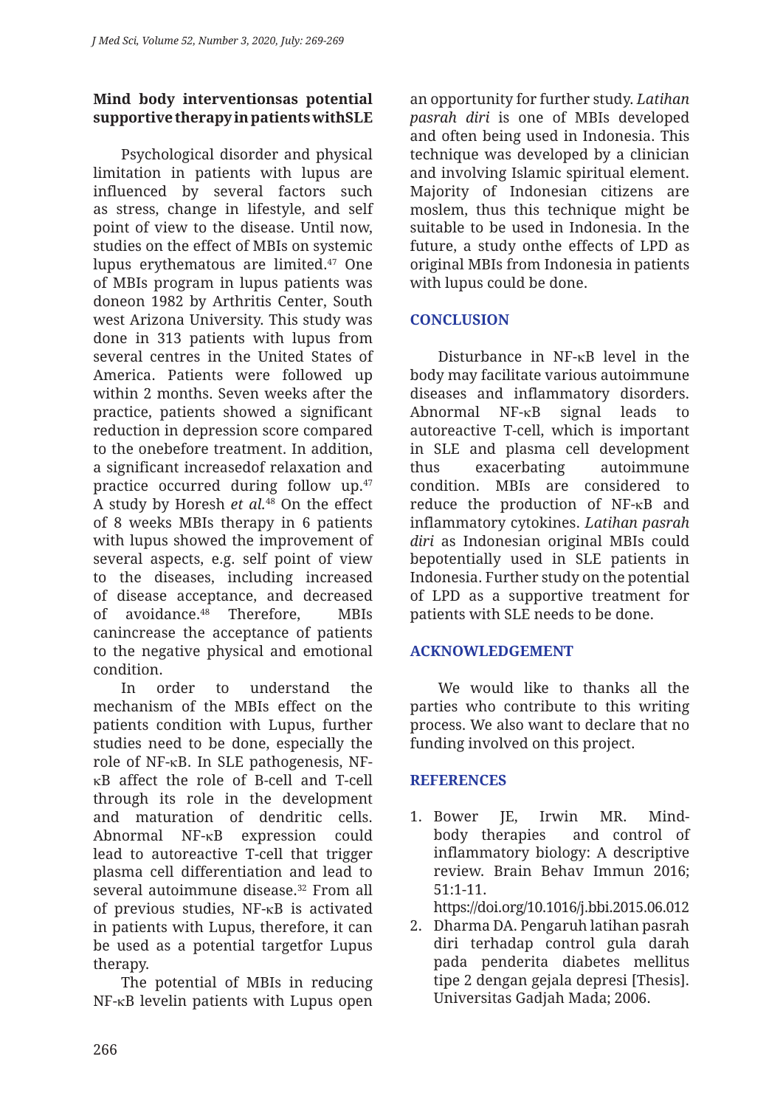## **Mind body interventionsas potential supportive therapy in patients withSLE**

Psychological disorder and physical limitation in patients with lupus are influenced by several factors such as stress, change in lifestyle, and self point of view to the disease. Until now, studies on the effect of MBIs on systemic lupus erythematous are limited.47 One of MBIs program in lupus patients was doneon 1982 by Arthritis Center, South west Arizona University. This study was done in 313 patients with lupus from several centres in the United States of America. Patients were followed up within 2 months. Seven weeks after the practice, patients showed a significant reduction in depression score compared to the onebefore treatment. In addition, a significant increasedof relaxation and practice occurred during follow up.47 A study by Horesh *et al.*<sup>48</sup> On the effect of 8 weeks MBIs therapy in 6 patients with lupus showed the improvement of several aspects, e.g. self point of view to the diseases, including increased of disease acceptance, and decreased of avoidance.48 Therefore, MBIs canincrease the acceptance of patients to the negative physical and emotional condition.

In order to understand the mechanism of the MBIs effect on the patients condition with Lupus, further studies need to be done, especially the role of NF-κB. In SLE pathogenesis, NFκB affect the role of B-cell and T-cell through its role in the development and maturation of dendritic cells. Abnormal NF-κB expression could lead to autoreactive T-cell that trigger plasma cell differentiation and lead to several autoimmune disease.32 From all of previous studies, NF-κB is activated in patients with Lupus, therefore, it can be used as a potential targetfor Lupus therapy.

The potential of MBIs in reducing NF-κB levelin patients with Lupus open an opportunity for further study. *Latihan pasrah diri* is one of MBIs developed and often being used in Indonesia. This technique was developed by a clinician and involving Islamic spiritual element. Majority of Indonesian citizens are moslem, thus this technique might be suitable to be used in Indonesia. In the future, a study onthe effects of LPD as original MBIs from Indonesia in patients with lupus could be done.

## **CONCLUSION**

Disturbance in NF-κB level in the body may facilitate various autoimmune diseases and inflammatory disorders. Abnormal NF-κB signal leads to autoreactive T-cell, which is important in SLE and plasma cell development thus exacerbating autoimmune condition. MBIs are considered to reduce the production of NF-κB and inflammatory cytokines. *Latihan pasrah diri* as Indonesian original MBIs could bepotentially used in SLE patients in Indonesia. Further study on the potential of LPD as a supportive treatment for patients with SLE needs to be done.

## **ACKNOWLEDGEMENT**

We would like to thanks all the parties who contribute to this writing process. We also want to declare that no funding involved on this project.

### **REFERENCES**

1. Bower JE, Irwin MR. Mindbody therapies and control of inflammatory biology: A descriptive review. Brain Behav Immun 2016; 51:1-11.

https://doi.org/10.1016/j.bbi.2015.06.012

2. Dharma DA. Pengaruh latihan pasrah diri terhadap control gula darah pada penderita diabetes mellitus tipe 2 dengan gejala depresi [Thesis]. Universitas Gadjah Mada; 2006.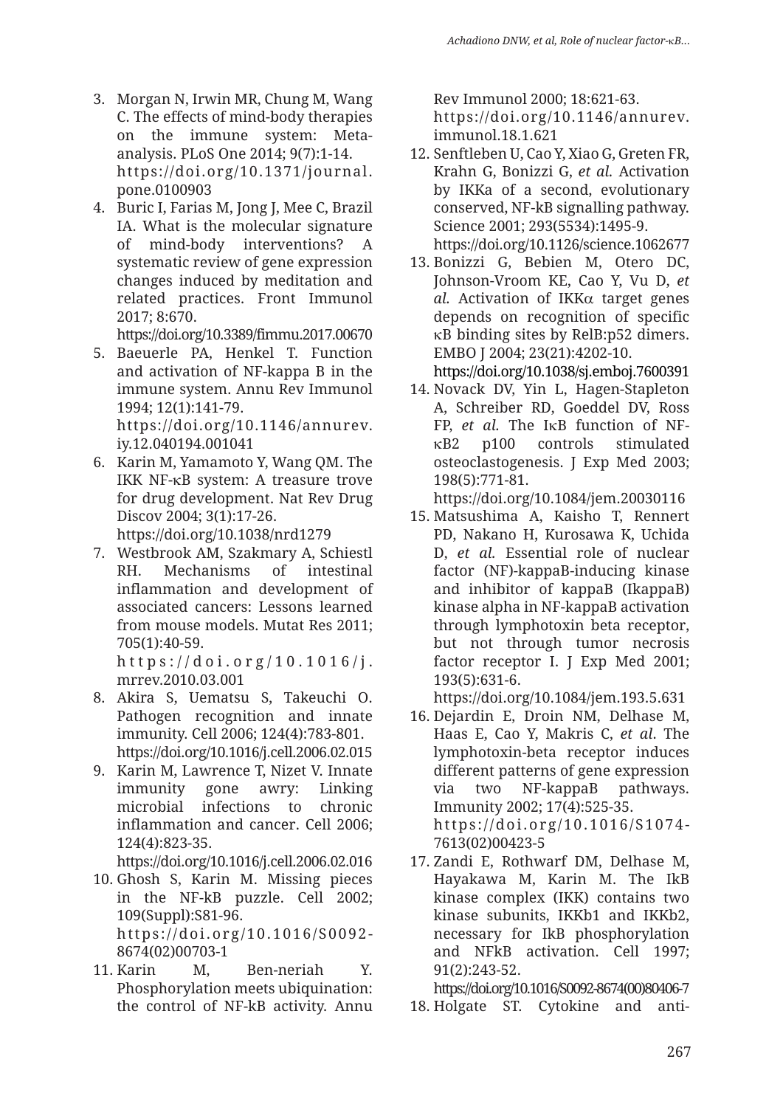- 3. Morgan N, Irwin MR, Chung M, Wang C. The effects of mind-body therapies on the immune system: Metaanalysis. PLoS One 2014; 9(7):1-14. https://doi.org/10.1371/journal. pone.0100903
- 4. Buric I, Farias M, Jong J, Mee C, Brazil IA. What is the molecular signature of mind-body interventions? A systematic review of gene expression changes induced by meditation and related practices. Front Immunol 2017; 8:670.

https://doi.org/10.3389/fimmu.2017.00670

- 5. Baeuerle PA, Henkel T. Function and activation of NF-kappa B in the immune system. Annu Rev Immunol 1994; 12(1):141-79. https://doi.org/10.1146/annurev. iy.12.040194.001041
- 6. Karin M, Yamamoto Y, Wang QM. The IKK NF-κB system: A treasure trove for drug development. Nat Rev Drug Discov 2004; 3(1):17-26. https://doi.org/10.1038/nrd1279
- 7. Westbrook AM, Szakmary A, Schiestl RH. Mechanisms of intestinal inflammation and development of associated cancers: Lessons learned from mouse models. Mutat Res 2011; 705(1):40-59.

https://doi.org/10.1016/j. mrrev.2010.03.001

- 8. Akira S, Uematsu S, Takeuchi O. Pathogen recognition and innate immunity. Cell 2006; 124(4):783-801. https://doi.org/10.1016/j.cell.2006.02.015
- 9. Karin M, Lawrence T, Nizet V. Innate immunity gone awry: Linking microbial infections to chronic inflammation and cancer. Cell 2006; 124(4):823-35.

https://doi.org/10.1016/j.cell.2006.02.016

- 10. Ghosh S, Karin M. Missing pieces in the NF-kB puzzle. Cell 2002; 109(Suppl):S81-96. https://doi.org/10.1016/S0092- 8674(02)00703-1
- 11. Karin M, Ben-neriah Y. Phosphorylation meets ubiquination: the control of NF-kB activity. Annu

Rev Immunol 2000; 18:621-63. https://doi.org/10.1146/annurev. immunol.18.1.621

- 12. Senftleben U, Cao Y, Xiao G, Greten FR, Krahn G, Bonizzi G, *et al.* Activation by IKKa of a second, evolutionary conserved, NF-kB signalling pathway. Science 2001; 293(5534):1495-9. https://doi.org/10.1126/science.1062677
- 13. Bonizzi G, Bebien M, Otero DC, Johnson-Vroom KE, Cao Y, Vu D, *et al.* Activation of IKKα target genes depends on recognition of specific κB binding sites by RelB:p52 dimers. EMBO J 2004; 23(21):4202-10.

https://doi.org/10.1038/sj.emboj.7600391

14. Novack DV, Yin L, Hagen-Stapleton A, Schreiber RD, Goeddel DV, Ross FP, *et al.* The IκB function of NFκB2 p100 controls stimulated osteoclastogenesis. J Exp Med 2003; 198(5):771-81.

https://doi.org/10.1084/jem.20030116

15. Matsushima A, Kaisho T, Rennert PD, Nakano H, Kurosawa K, Uchida D, *et al.* Essential role of nuclear factor (NF)-kappaB-inducing kinase and inhibitor of kappaB (IkappaB) kinase alpha in NF-kappaB activation through lymphotoxin beta receptor, but not through tumor necrosis factor receptor I. J Exp Med 2001; 193(5):631-6.

https://doi.org/10.1084/jem.193.5.631

- 16. Dejardin E, Droin NM, Delhase M, Haas E, Cao Y, Makris C, *et al*. The lymphotoxin-beta receptor induces different patterns of gene expression via two NF-kappaB pathways. Immunity 2002; 17(4):525-35. https://doi.org/10.1016/S1074- 7613(02)00423-5
- 17. Zandi E, Rothwarf DM, Delhase M, Hayakawa M, Karin M. The IkB kinase complex (IKK) contains two kinase subunits, IKKb1 and IKKb2, necessary for IkB phosphorylation and NFkB activation. Cell 1997; 91(2):243-52.

https://doi.org/10.1016/S0092-8674(00)80406-7 18. Holgate ST. Cytokine and anti-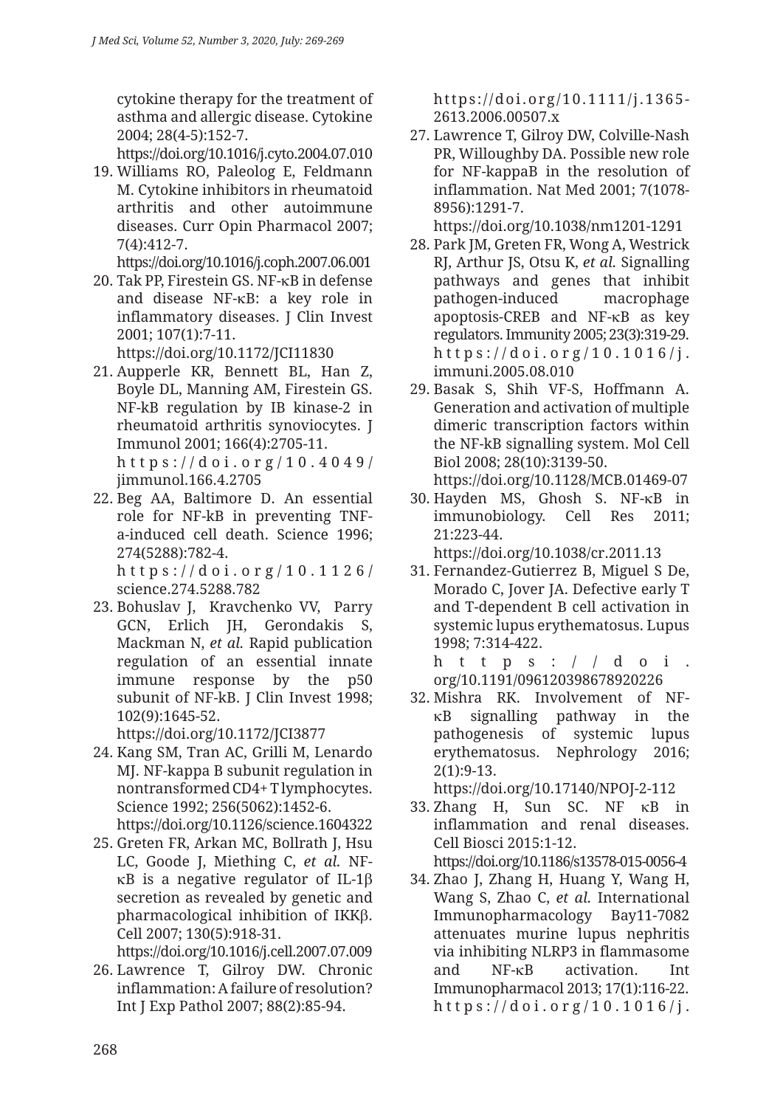cytokine therapy for the treatment of asthma and allergic disease. Cytokine 2004; 28(4-5):152-7.

https://doi.org/10.1016/j.cyto.2004.07.010

19. Williams RO, Paleolog E, Feldmann M. Cytokine inhibitors in rheumatoid arthritis and other autoimmune diseases. Curr Opin Pharmacol 2007; 7(4):412-7.

https://doi.org/10.1016/j.coph.2007.06.001

20. Tak PP, Firestein GS. NF-κB in defense and disease NF-κB: a key role in inflammatory diseases. J Clin Invest 2001; 107(1):7-11.

https://doi.org/10.1172/JCI11830

- 21. Aupperle KR, Bennett BL, Han Z, Boyle DL, Manning AM, Firestein GS. NF-kB regulation by IB kinase-2 in rheumatoid arthritis synoviocytes. J Immunol 2001; 166(4):2705-11. https://doi.org/10.4049/ jimmunol.166.4.2705
- 22. Beg AA, Baltimore D. An essential role for NF-kB in preventing TNFa-induced cell death. Science 1996; 274(5288):782-4.

https://doi.org/10.1126/ science.274.5288.782

23. Bohuslav J, Kravchenko VV, Parry GCN, Erlich JH, Gerondakis S, Mackman N, *et al.* Rapid publication regulation of an essential innate immune response by the p50 subunit of NF-kB. I Clin Invest 1998; 102(9):1645-52.

https://doi.org/10.1172/JCI3877

24. Kang SM, Tran AC, Grilli M, Lenardo MJ. NF-kappa B subunit regulation in nontransformed CD4+ T lymphocytes. Science 1992; 256(5062):1452-6.

https://doi.org/10.1126/science.1604322

25. Greten FR, Arkan MC, Bollrath J, Hsu LC, Goode J, Miething C, *et al.* NFκB is a negative regulator of IL-1β secretion as revealed by genetic and pharmacological inhibition of IKKβ. Cell 2007; 130(5):918-31.

https://doi.org/10.1016/j.cell.2007.07.009

26. Lawrence T, Gilroy DW. Chronic inflammation: A failure of resolution? Int J Exp Pathol 2007; 88(2):85-94.

https://doi.org/10.1111/j.1365- 2613.2006.00507.x

27. Lawrence T, Gilroy DW, Colville-Nash PR, Willoughby DA. Possible new role for NF-kappaB in the resolution of inflammation. Nat Med 2001; 7(1078- 8956):1291-7. https://doi.org/10.1038/nm1201-1291

28. Park JM, Greten FR, Wong A, Westrick

- RJ, Arthur JS, Otsu K, *et al.* Signalling pathways and genes that inhibit pathogen-induced macrophage apoptosis-CREB and NF-κB as key regulators. Immunity 2005; 23(3):319-29. https://doi.org/10.1016/j. immuni.2005.08.010
- 29. Basak S, Shih VF-S, Hoffmann A. Generation and activation of multiple dimeric transcription factors within the NF-kB signalling system. Mol Cell Biol 2008; 28(10):3139-50. https://doi.org/10.1128/MCB.01469-07
- 30. Hayden MS, Ghosh S. NF-κB in immunobiology. Cell Res 2011; 21:223-44. https://doi.org/10.1038/cr.2011.13
- 31. Fernandez-Gutierrez B, Miguel S De, Morado C, Jover JA. Defective early T and T-dependent B cell activation in systemic lupus erythematosus. Lupus 1998; 7:314-422.

https:// $d$ oi. org/10.1191/096120398678920226

32. Mishra RK. Involvement of NFκB signalling pathway in the pathogenesis of systemic lupus erythematosus. Nephrology 2016; 2(1):9-13.

https://doi.org/10.17140/NPOJ-2-112 33. Zhang H, Sun SC. NF κB in

inflammation and renal diseases. Cell Biosci 2015:1-12. https://doi.org/10.1186/s13578-015-0056-4

34. Zhao J, Zhang H, Huang Y, Wang H, Wang S, Zhao C, *et al.* International Immunopharmacology Bay11-7082 attenuates murine lupus nephritis via inhibiting NLRP3 in flammasome and NF-κB activation. Int Immunopharmacol 2013; 17(1):116-22. https://doi.org/10.1016/j.